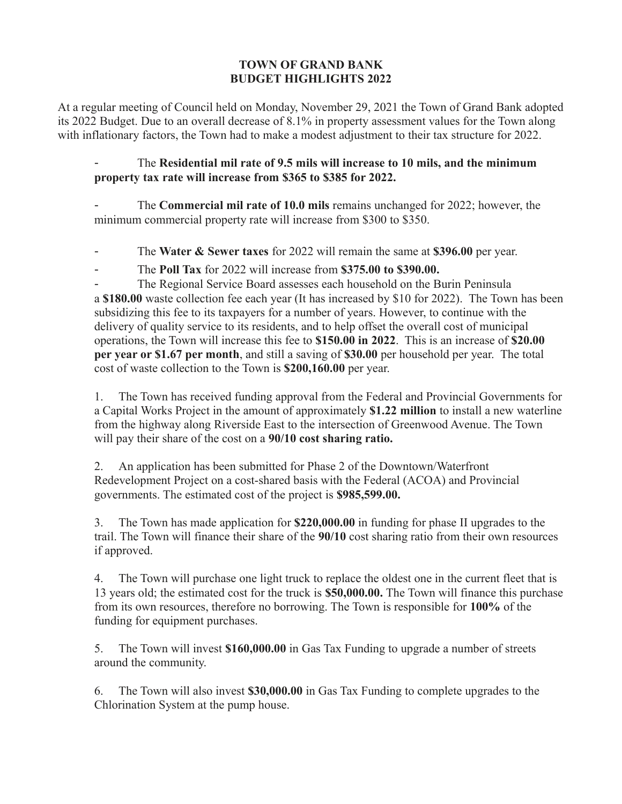## **TOWN OF GRAND BANK BUDGET HIGHLIGHTS 2022**

At a regular meeting of Council held on Monday, November 29, 2021 the Town of Grand Bank adopted its 2022 Budget. Due to an overall decrease of 8.1% in property assessment values for the Town along with inflationary factors, the Town had to make a modest adjustment to their tax structure for 2022.

- The **Residential mil rate of 9.5 mils will increase to 10 mils, and the minimum property tax rate will increase from \$365 to \$385 for 2022.**

The **Commercial mil rate of 10.0 mils** remains unchanged for 2022; however, the minimum commercial property rate will increase from \$300 to \$350.

- The **Water & Sewer taxes** for 2022 will remain the same at **\$396.00** per year.
- The **Poll Tax** for 2022 will increase from **\$375.00 to \$390.00.**

The Regional Service Board assesses each household on the Burin Peninsula a **\$180.00** waste collection fee each year (It has increased by \$10 for 2022). The Town has been subsidizing this fee to its taxpayers for a number of years. However, to continue with the delivery of quality service to its residents, and to help offset the overall cost of municipal operations, the Town will increase this fee to **\$150.00 in 2022**. This is an increase of **\$20.00 per year or \$1.67 per month**, and still a saving of **\$30.00** per household per year. The total cost of waste collection to the Town is **\$200,160.00** per year.

1. The Town has received funding approval from the Federal and Provincial Governments for a Capital Works Project in the amount of approximately **\$1.22 million** to install a new waterline from the highway along Riverside East to the intersection of Greenwood Avenue. The Town will pay their share of the cost on a **90/10 cost sharing ratio.**

2. An application has been submitted for Phase 2 of the Downtown/Waterfront Redevelopment Project on a cost-shared basis with the Federal (ACOA) and Provincial governments. The estimated cost of the project is **\$985,599.00.**

3. The Town has made application for **\$220,000.00** in funding for phase II upgrades to the trail. The Town will finance their share of the **90/10** cost sharing ratio from their own resources if approved.

4. The Town will purchase one light truck to replace the oldest one in the current fleet that is 13 years old; the estimated cost for the truck is **\$50,000.00.** The Town will finance this purchase from its own resources, therefore no borrowing. The Town is responsible for **100%** of the funding for equipment purchases.

5. The Town will invest **\$160,000.00** in Gas Tax Funding to upgrade a number of streets around the community.

6. The Town will also invest **\$30,000.00** in Gas Tax Funding to complete upgrades to the Chlorination System at the pump house.